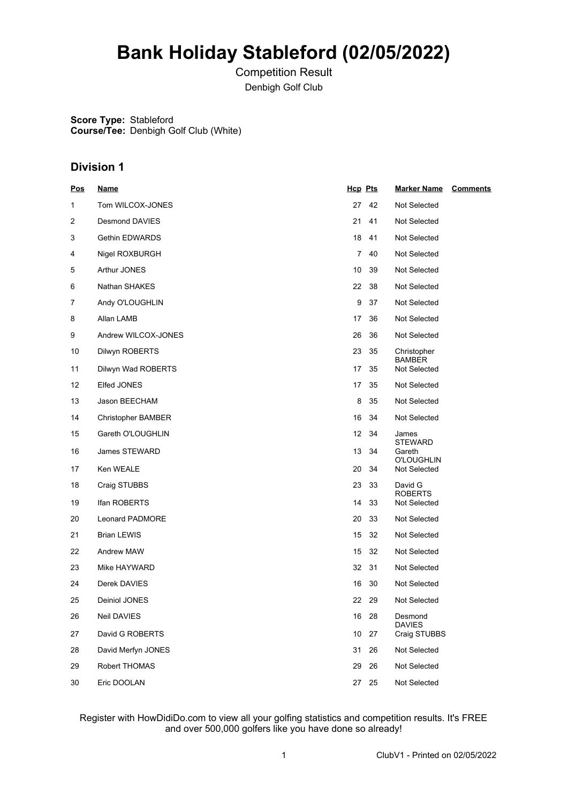## **Bank Holiday Stableford (02/05/2022)**

Competition Result Denbigh Golf Club

**Score Type:** Stableford **Course/Tee:** Denbigh Golf Club (White)

## **Division 1**

| <b>Pos</b> | <b>Name</b>               | Hcp Pts   | <b>Marker Name</b><br><b>Comments</b> |
|------------|---------------------------|-----------|---------------------------------------|
| 1          | Tom WILCOX-JONES          | 27<br>42  | Not Selected                          |
| 2          | Desmond DAVIES            | 21<br>41  | Not Selected                          |
| 3          | Gethin EDWARDS            | 18<br>41  | Not Selected                          |
| 4          | Nigel ROXBURGH            | 7<br>40   | Not Selected                          |
| 5          | Arthur JONES              | 10<br>39  | Not Selected                          |
| 6          | Nathan SHAKES             | 22<br>38  | Not Selected                          |
| 7          | Andy O'LOUGHLIN           | 9<br>37   | Not Selected                          |
| 8          | Allan LAMB                | 17<br>36  | Not Selected                          |
| 9          | Andrew WILCOX-JONES       | 26<br>36  | Not Selected                          |
| 10         | Dilwyn ROBERTS            | 23<br>35  | Christopher<br><b>BAMBER</b>          |
| 11         | Dilwyn Wad ROBERTS        | 17<br>35  | Not Selected                          |
| 12         | Elfed JONES               | 17<br>35  | <b>Not Selected</b>                   |
| 13         | Jason BEECHAM             | 8<br>35   | <b>Not Selected</b>                   |
| 14         | <b>Christopher BAMBER</b> | 16<br>34  | Not Selected                          |
| 15         | Gareth O'LOUGHLIN         | 12<br>-34 | James<br><b>STEWARD</b>               |
| 16         | James STEWARD             | 13<br>34  | Gareth                                |
| 17         | Ken WEALE                 | 20<br>34  | <b>O'LOUGHLIN</b><br>Not Selected     |
| 18         | Craig STUBBS              | 23<br>33  | David G                               |
| 19         | Ifan ROBERTS              | 14<br>33  | <b>ROBERTS</b><br>Not Selected        |
| 20         | Leonard PADMORE           | 20<br>33  | Not Selected                          |
| 21         | <b>Brian LEWIS</b>        | 15<br>32  | Not Selected                          |
| 22         | Andrew MAW                | 15<br>32  | Not Selected                          |
| 23         | Mike HAYWARD              | 32<br>31  | Not Selected                          |
| 24         | Derek DAVIES              | 16<br>30  | Not Selected                          |
| 25         | Deiniol JONES             | 22<br>29  | Not Selected                          |
| 26         | Neil DAVIES               | 16<br>28  | Desmond                               |
| 27         | David G ROBERTS           | 10<br>27  | <b>DAVIES</b><br>Craig STUBBS         |
| 28         | David Merfyn JONES        | 31<br>26  | Not Selected                          |
| 29         | Robert THOMAS             | 29<br>26  | Not Selected                          |
| 30         | Eric DOOLAN               | 25<br>27  | Not Selected                          |

## Register with HowDidiDo.com to view all your golfing statistics and competition results. It's FREE and over 500,000 golfers like you have done so already!